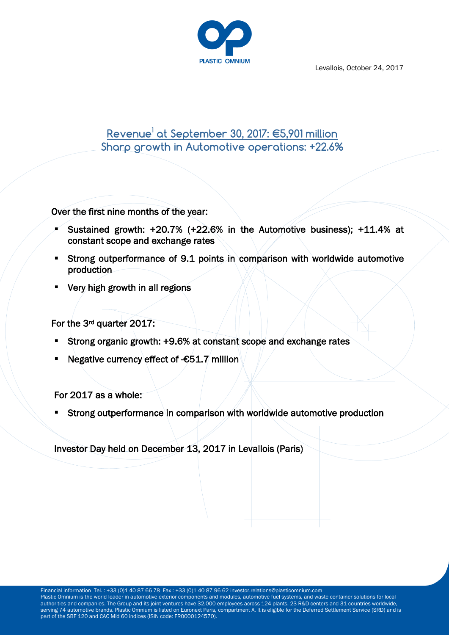

Levallois, October 24, 2017

# **Revenue<sup>1</sup> at September 30, 2017: €5,901 million Sharp growth in Automotive operations: +22.6%**

Over the first nine months of the year:

- Sustained growth:  $+20.7\%$  ( $+22.6\%$  in the Automotive business);  $+11.4\%$  at constant scope and exchange rates
- Strong outperformance of 9.1 points in comparison with worldwide automotive production
- Very high growth in all regions

For the 3rd quarter 2017:

- Strong organic growth: +9.6% at constant scope and exchange rates
- Negative currency effect of -€51.7 million

For 2017 as a whole:

Strong outperformance in comparison with worldwide automotive production

Investor Day held on December 13, 2017 in Levallois (Paris)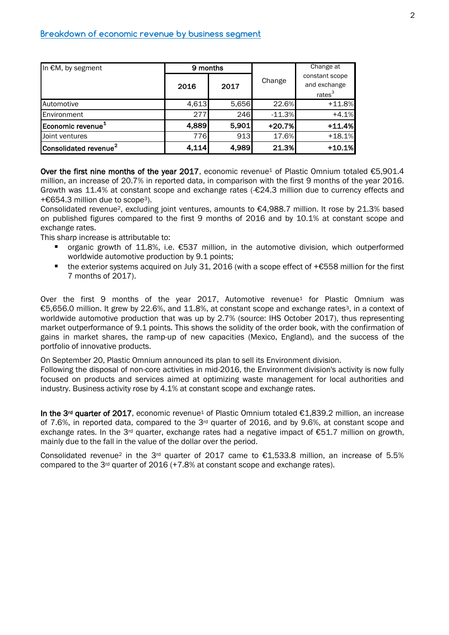| In €M, by segment                 | 9 months |       |          | Change at                                            |
|-----------------------------------|----------|-------|----------|------------------------------------------------------|
|                                   | 2016     | 2017  | Change   | constant scope<br>and exchange<br>rates <sup>3</sup> |
| Automotive                        | 4,613    | 5,656 | 22.6%    | $+11.8%$                                             |
| Environment                       | 277      | 246   | $-11.3%$ | $+4.1%$                                              |
| Economic revenue <sup>1</sup>     | 4,889    | 5,901 | $+20.7%$ | $+11.4%$                                             |
| Joint ventures                    | 776      | 913   | 17.6%    | $+18.1%$                                             |
| Consolidated revenue <sup>2</sup> | 4,114    | 4,989 | 21.3%    | $+10.1%$                                             |

Over the first nine months of the year 2017, economic revenue<sup>1</sup> of Plastic Omnium totaled  $€5,901.4$ million, an increase of 20.7% in reported data, in comparison with the first 9 months of the year 2016. Growth was 11.4% at constant scope and exchange rates (-€24.3 million due to currency effects and +€654.3 million due to scope3).

Consolidated revenue<sup>2</sup>, excluding joint ventures, amounts to  $\epsilon$ 4,988.7 million. It rose by 21.3% based on published figures compared to the first 9 months of 2016 and by 10.1% at constant scope and exchange rates.

This sharp increase is attributable to:

- organic growth of 11.8%, i.e. €537 million, in the automotive division, which outperformed worldwide automotive production by 9.1 points;
- the exterior systems acquired on July 31, 2016 (with a scope effect of +€558 million for the first 7 months of 2017).

Over the first 9 months of the year  $2017$ , Automotive revenue<sup>1</sup> for Plastic Omnium was €5,656.0 million. It grew by 22.6%, and 11.8%, at constant scope and exchange rates3, in a context of worldwide automotive production that was up by 2.7% (source: IHS October 2017), thus representing market outperformance of 9.1 points. This shows the solidity of the order book, with the confirmation of gains in market shares, the ramp-up of new capacities (Mexico, England), and the success of the portfolio of innovative products.

On September 20, Plastic Omnium announced its plan to sell its Environment division.

Following the disposal of non-core activities in mid-2016, the Environment division's activity is now fully focused on products and services aimed at optimizing waste management for local authorities and industry. Business activity rose by 4.1% at constant scope and exchange rates.

In the 3<sup>rd</sup> quarter of 2017, economic revenue<sup>1</sup> of Plastic Omnium totaled €1,839.2 million, an increase of 7.6%, in reported data, compared to the 3rd quarter of 2016, and by 9.6%, at constant scope and exchange rates. In the 3<sup>rd</sup> quarter, exchange rates had a negative impact of  $\epsilon$ 51.7 million on growth, mainly due to the fall in the value of the dollar over the period.

Consolidated revenue<sup>2</sup> in the 3<sup>rd</sup> quarter of 2017 came to  $\epsilon$ 1,533.8 million, an increase of 5.5% compared to the  $3^{rd}$  quarter of 2016 (+7.8% at constant scope and exchange rates).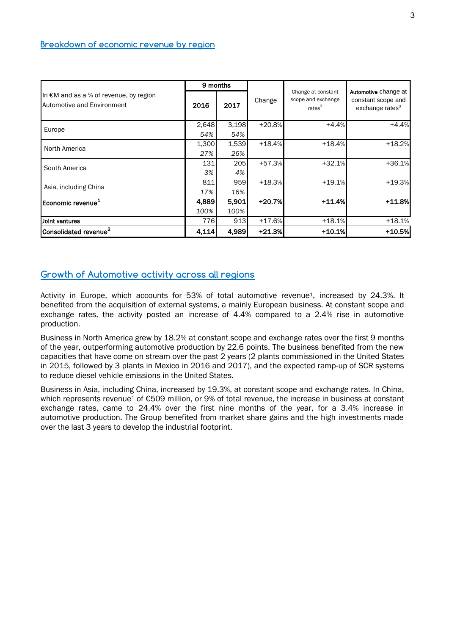|                                                                      | 9 months |       |          |                                                                |                                                                           |
|----------------------------------------------------------------------|----------|-------|----------|----------------------------------------------------------------|---------------------------------------------------------------------------|
| In €M and as a % of revenue, by region<br>Automotive and Environment | 2016     | 2017  | Change   | Change at constant<br>scope and exchange<br>rates <sup>3</sup> | Automotive change at<br>constant scope and<br>exchange rates <sup>3</sup> |
| Europe                                                               | 2,648    | 3,198 | $+20.8%$ | $+4.4%$                                                        | $+4.4%$                                                                   |
|                                                                      | 54%      | 54%   |          |                                                                |                                                                           |
| North America                                                        | 1,300    | 1,539 | $+18.4%$ | $+18.4%$                                                       | $+18.2%$                                                                  |
|                                                                      | 27%      | 26%   |          |                                                                |                                                                           |
| South America                                                        | 131      | 205   | $+57.3%$ | $+32.1%$                                                       | $+36.1%$                                                                  |
|                                                                      | 3%       | 4%    |          |                                                                |                                                                           |
| Asia, including China                                                | 811      | 959   | $+18.3%$ | $+19.1%$                                                       | $+19.3%$                                                                  |
|                                                                      | 17%      | 16%   |          |                                                                |                                                                           |
| Economic revenue <sup>1</sup>                                        | 4,889    | 5,901 | $+20.7%$ | $+11.4%$                                                       | $+11.8%$                                                                  |
|                                                                      | 100%     | 100%  |          |                                                                |                                                                           |
| Joint ventures                                                       | 776      | 913   | $+17.6%$ | $+18.1%$                                                       | $+18.1%$                                                                  |
| Consolidated revenue <sup>2</sup>                                    | 4,114    | 4.989 | $+21.3%$ | $+10.1%$                                                       | $+10.5%$                                                                  |

## **Growth of Automotive activity across all regions**

Activity in Europe, which accounts for 53% of total automotive revenue<sup>1</sup>, increased by 24.3%. It benefited from the acquisition of external systems, a mainly European business. At constant scope and exchange rates, the activity posted an increase of 4.4% compared to a 2.4% rise in automotive production.

Business in North America grew by 18.2% at constant scope and exchange rates over the first 9 months of the year, outperforming automotive production by 22.6 points. The business benefited from the new capacities that have come on stream over the past 2 years (2 plants commissioned in the United States in 2015, followed by 3 plants in Mexico in 2016 and 2017), and the expected ramp-up of SCR systems to reduce diesel vehicle emissions in the United States.

Business in Asia, including China, increased by 19.3%, at constant scope and exchange rates. In China, which represents revenue<sup>1</sup> of €509 million, or 9% of total revenue, the increase in business at constant exchange rates, came to 24.4% over the first nine months of the year, for a 3.4% increase in automotive production. The Group benefited from market share gains and the high investments made over the last 3 years to develop the industrial footprint.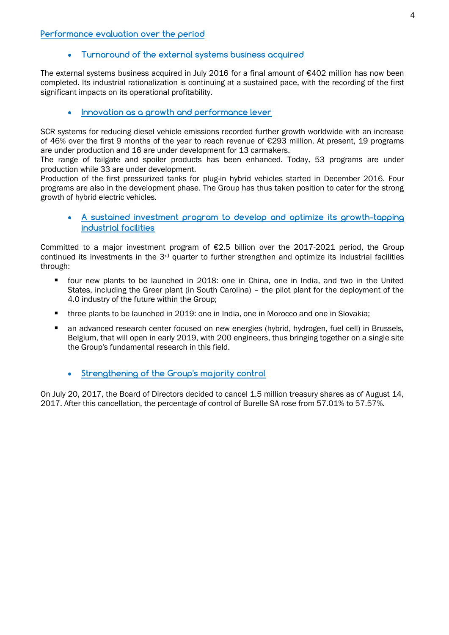#### **Performance evaluation over the period**

## **Turnaround of the external systems business acquired**

The external systems business acquired in July 2016 for a final amount of €402 million has now been completed. Its industrial rationalization is continuing at a sustained pace, with the recording of the first significant impacts on its operational profitability.

## **Innovation as a growth and performance lever**

SCR systems for reducing diesel vehicle emissions recorded further growth worldwide with an increase of 46% over the first 9 months of the year to reach revenue of €293 million. At present, 19 programs are under production and 16 are under development for 13 carmakers.

The range of tailgate and spoiler products has been enhanced. Today, 53 programs are under production while 33 are under development.

Production of the first pressurized tanks for plug-in hybrid vehicles started in December 2016. Four programs are also in the development phase. The Group has thus taken position to cater for the strong growth of hybrid electric vehicles.

 **A sustained investment program to develop and optimize its growth-tapping industrial facilities** 

Committed to a major investment program of  $E2.5$  billion over the 2017-2021 period, the Group continued its investments in the 3rd quarter to further strengthen and optimize its industrial facilities through:

- four new plants to be launched in 2018: one in China, one in India, and two in the United States, including the Greer plant (in South Carolina) – the pilot plant for the deployment of the 4.0 industry of the future within the Group;
- three plants to be launched in 2019: one in India, one in Morocco and one in Slovakia;
- an advanced research center focused on new energies (hybrid, hydrogen, fuel cell) in Brussels, Belgium, that will open in early 2019, with 200 engineers, thus bringing together on a single site the Group's fundamental research in this field.
	- **Strengthening of the Group's majority control**

On July 20, 2017, the Board of Directors decided to cancel 1.5 million treasury shares as of August 14, 2017. After this cancellation, the percentage of control of Burelle SA rose from 57.01% to 57.57%.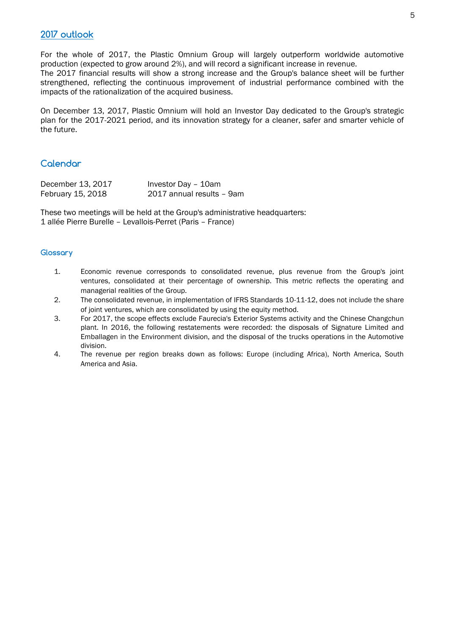# **2017 outlook**

For the whole of 2017, the Plastic Omnium Group will largely outperform worldwide automotive production (expected to grow around 2%), and will record a significant increase in revenue. The 2017 financial results will show a strong increase and the Group's balance sheet will be further strengthened, reflecting the continuous improvement of industrial performance combined with the impacts of the rationalization of the acquired business.

On December 13, 2017, Plastic Omnium will hold an Investor Day dedicated to the Group's strategic plan for the 2017-2021 period, and its innovation strategy for a cleaner, safer and smarter vehicle of the future.

# **Calendar**

| December 13, 2017 | Investor Day - 10am       |
|-------------------|---------------------------|
| February 15, 2018 | 2017 annual results - 9am |

These two meetings will be held at the Group's administrative headquarters: 1 allée Pierre Burelle – Levallois-Perret (Paris – France)

#### **Glossary**

- 1. Economic revenue corresponds to consolidated revenue, plus revenue from the Group's joint ventures, consolidated at their percentage of ownership. This metric reflects the operating and managerial realities of the Group.
- 2. The consolidated revenue, in implementation of IFRS Standards 10-11-12, does not include the share of joint ventures, which are consolidated by using the equity method.
- 3. For 2017, the scope effects exclude Faurecia's Exterior Systems activity and the Chinese Changchun plant. In 2016, the following restatements were recorded: the disposals of Signature Limited and Emballagen in the Environment division, and the disposal of the trucks operations in the Automotive division.
- 4. The revenue per region breaks down as follows: Europe (including Africa), North America, South America and Asia.